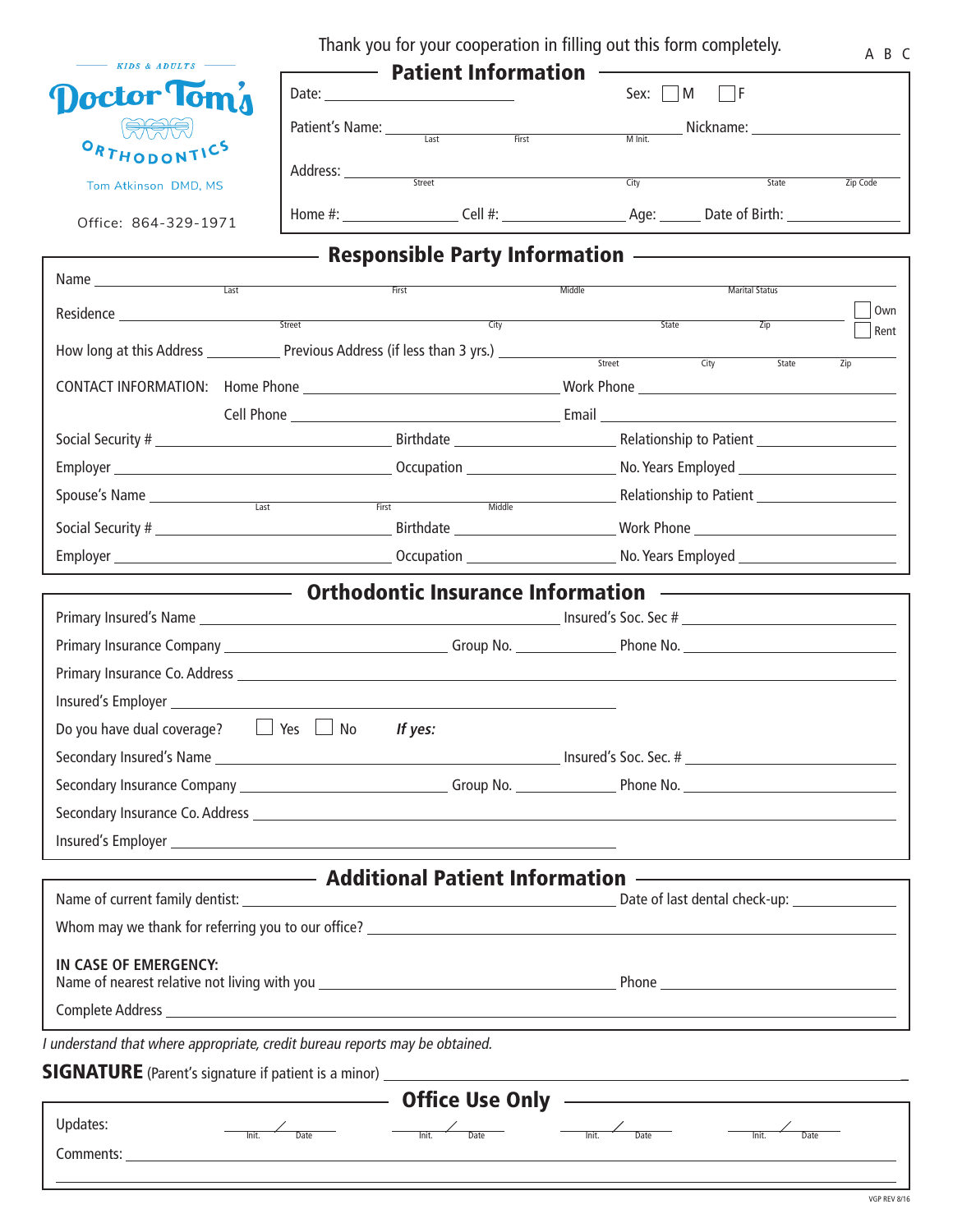Thank you for your cooperation in filling out this form completely.

| $\longrightarrow$ KIDS & ADULTS |                        | <b>Patient Information</b> |                        |                |          |
|---------------------------------|------------------------|----------------------------|------------------------|----------------|----------|
| octor Tom <sub>a</sub>          | Date:                  |                            | $\blacksquare$<br>Sex: |                |          |
| <b>AAA</b><br>ORTHODONTICS      | Patient's Name: ______ | First<br>Last              | M Init.                | Nickname:      |          |
| Tom Atkinson DMD, MS            | Address:               | Street                     | City                   | State          | Zip Code |
| Office: 864-329-1971            | Home #:                | Cell #:                    | Age:                   | Date of Birth: |          |

## Responsible Party Information

| Residence <u>experiments</u> and the state of the state of the state of the state of the state of the state of the state of the state of the state of the state of the state of the state of the state of the state of the state of<br>City<br>State<br>Zip<br>Street<br>City<br>State<br>Zip<br>Spouse's Name <u>entity and the set of the set of the set of the set of the set of the set of the set of the set of the set of the set of the set of the set of the set of the set of the set of the set of the set of the set o</u><br><b>Example 20 Orthodontic Insurance Information —————————————</b><br>Do you have dual coverage? $\Box$ Yes $\Box$ No<br>If yes: | Name | First | Middle | <b>Marital Status</b> |      |
|--------------------------------------------------------------------------------------------------------------------------------------------------------------------------------------------------------------------------------------------------------------------------------------------------------------------------------------------------------------------------------------------------------------------------------------------------------------------------------------------------------------------------------------------------------------------------------------------------------------------------------------------------------------------------|------|-------|--------|-----------------------|------|
|                                                                                                                                                                                                                                                                                                                                                                                                                                                                                                                                                                                                                                                                          |      |       |        |                       | Own  |
|                                                                                                                                                                                                                                                                                                                                                                                                                                                                                                                                                                                                                                                                          |      |       |        |                       | Rent |
|                                                                                                                                                                                                                                                                                                                                                                                                                                                                                                                                                                                                                                                                          |      |       |        |                       |      |
|                                                                                                                                                                                                                                                                                                                                                                                                                                                                                                                                                                                                                                                                          |      |       |        |                       |      |
|                                                                                                                                                                                                                                                                                                                                                                                                                                                                                                                                                                                                                                                                          |      |       |        |                       |      |
|                                                                                                                                                                                                                                                                                                                                                                                                                                                                                                                                                                                                                                                                          |      |       |        |                       |      |
|                                                                                                                                                                                                                                                                                                                                                                                                                                                                                                                                                                                                                                                                          |      |       |        |                       |      |
|                                                                                                                                                                                                                                                                                                                                                                                                                                                                                                                                                                                                                                                                          |      |       |        |                       |      |
|                                                                                                                                                                                                                                                                                                                                                                                                                                                                                                                                                                                                                                                                          |      |       |        |                       |      |
|                                                                                                                                                                                                                                                                                                                                                                                                                                                                                                                                                                                                                                                                          |      |       |        |                       |      |
|                                                                                                                                                                                                                                                                                                                                                                                                                                                                                                                                                                                                                                                                          |      |       |        |                       |      |
|                                                                                                                                                                                                                                                                                                                                                                                                                                                                                                                                                                                                                                                                          |      |       |        |                       |      |
|                                                                                                                                                                                                                                                                                                                                                                                                                                                                                                                                                                                                                                                                          |      |       |        |                       |      |
|                                                                                                                                                                                                                                                                                                                                                                                                                                                                                                                                                                                                                                                                          |      |       |        |                       |      |
|                                                                                                                                                                                                                                                                                                                                                                                                                                                                                                                                                                                                                                                                          |      |       |        |                       |      |
|                                                                                                                                                                                                                                                                                                                                                                                                                                                                                                                                                                                                                                                                          |      |       |        |                       |      |
|                                                                                                                                                                                                                                                                                                                                                                                                                                                                                                                                                                                                                                                                          |      |       |        |                       |      |
|                                                                                                                                                                                                                                                                                                                                                                                                                                                                                                                                                                                                                                                                          |      |       |        |                       |      |
|                                                                                                                                                                                                                                                                                                                                                                                                                                                                                                                                                                                                                                                                          |      |       |        |                       |      |
|                                                                                                                                                                                                                                                                                                                                                                                                                                                                                                                                                                                                                                                                          |      |       |        |                       |      |
| <b>National Patient Information</b> Additional Patient Information                                                                                                                                                                                                                                                                                                                                                                                                                                                                                                                                                                                                       |      |       |        |                       |      |
| Date of last dental check-up: _________________                                                                                                                                                                                                                                                                                                                                                                                                                                                                                                                                                                                                                          |      |       |        |                       |      |
| Whom may we thank for referring you to our office? Letter than the state of the state of the state of the state of the state of the state of the state of the state of the state of the state of the state of the state of the                                                                                                                                                                                                                                                                                                                                                                                                                                           |      |       |        |                       |      |
| IN CASE OF EMERGENCY:                                                                                                                                                                                                                                                                                                                                                                                                                                                                                                                                                                                                                                                    |      |       |        |                       |      |
|                                                                                                                                                                                                                                                                                                                                                                                                                                                                                                                                                                                                                                                                          |      |       |        |                       |      |
|                                                                                                                                                                                                                                                                                                                                                                                                                                                                                                                                                                                                                                                                          |      |       |        |                       |      |
| I understand that where appropriate, credit bureau reports may be obtained.                                                                                                                                                                                                                                                                                                                                                                                                                                                                                                                                                                                              |      |       |        |                       |      |
| <b>SIGNATURE</b> (Parent's signature if patient is a minor)                                                                                                                                                                                                                                                                                                                                                                                                                                                                                                                                                                                                              |      |       |        |                       |      |
| <b>Office Use Only</b>                                                                                                                                                                                                                                                                                                                                                                                                                                                                                                                                                                                                                                                   |      |       |        |                       |      |
| Updates:<br>Date<br>Init.<br><b>Date</b><br>Init.<br>Date<br>Init.<br>Init.<br>Date                                                                                                                                                                                                                                                                                                                                                                                                                                                                                                                                                                                      |      |       |        |                       |      |

Comments:

Г

VGP REV 8/16

A B C